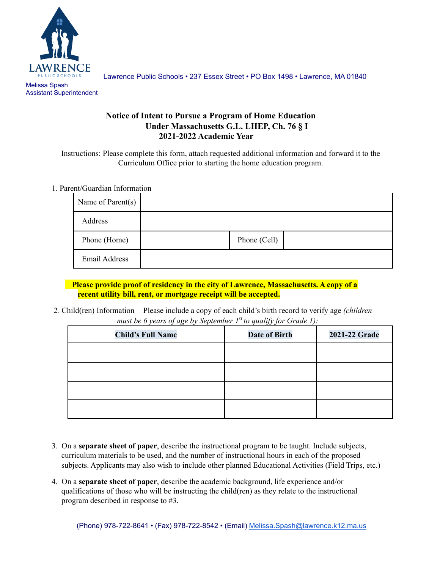

Assistant Superintendent

Lawrence Public Schools • 237 Essex Street • PO Box 1498 • Lawrence, MA 01840

## **Notice of Intent to Pursue a Program of Home Education Under Massachusetts G.L. LHEP, Ch. 76 § I 2021-2022 Academic Year**

Instructions: Please complete this form, attach requested additional information and forward it to the Curriculum Office prior to starting the home education program.

### 1. Parent/Guardian Information

| Name of Parent(s)    |              |  |
|----------------------|--------------|--|
| Address              |              |  |
| Phone (Home)         | Phone (Cell) |  |
| <b>Email Address</b> |              |  |

### **Please provide proof of residency in the city of Lawrence, Massachusetts. A copy of a recent utility bill, rent, or mortgage receipt will be accepted.**

2*.* Child(ren) Information Please include a copy of each child's birth record to verify age *(children must be 6 years of age by September 1st to qualify for Grade 1):*

| $\sqrt{2}$ $\sqrt{2}$<br><b>Child's Full Name</b> | $\cdots$<br><b>Date of Birth</b> | 2021-22 Grade |
|---------------------------------------------------|----------------------------------|---------------|
|                                                   |                                  |               |
|                                                   |                                  |               |
|                                                   |                                  |               |
|                                                   |                                  |               |

- 3. On a **separate sheet of paper**, describe the instructional program to be taught. Include subjects, curriculum materials to be used, and the number of instructional hours in each of the proposed subjects. Applicants may also wish to include other planned Educational Activities (Field Trips, etc.)
- 4. On a **separate sheet of paper**, describe the academic background, life experience and/or qualifications of those who will be instructing the child(ren) as they relate to the instructional program described in response to #3.